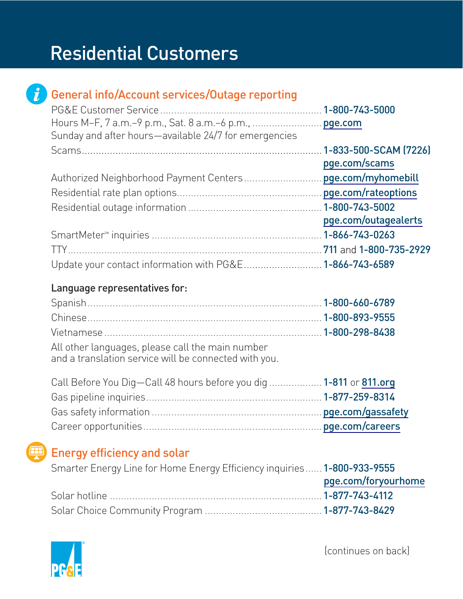# Residential Customers



## General info/Account services/Outage reporting

| Sunday and after hours-available 24/7 for emergencies    |                      |
|----------------------------------------------------------|----------------------|
|                                                          |                      |
|                                                          | pge.com/scams        |
|                                                          |                      |
|                                                          |                      |
|                                                          |                      |
|                                                          | pge.com/outagealerts |
|                                                          |                      |
|                                                          |                      |
| Update your contact information with PG&E 1-866-743-6589 |                      |

#### Language representatives for:

| All other languages, please call the main number<br>والمستحلفات والمسامرة ومستحير والملازن والمتراسم والمستقطع المستقطر والمستر |  |
|---------------------------------------------------------------------------------------------------------------------------------|--|

and a translation service will be connected with you.

| Call Before You Dig-Call 48 hours before you dig  1-811 or 811.org |  |
|--------------------------------------------------------------------|--|
|                                                                    |  |
|                                                                    |  |
|                                                                    |  |

### Energy efficiency and solar

| Smarter Energy Line for Home Energy Efficiency inquiries 1-800-933-9555 |  |
|-------------------------------------------------------------------------|--|
| pge.com/foryourhome                                                     |  |
|                                                                         |  |
|                                                                         |  |

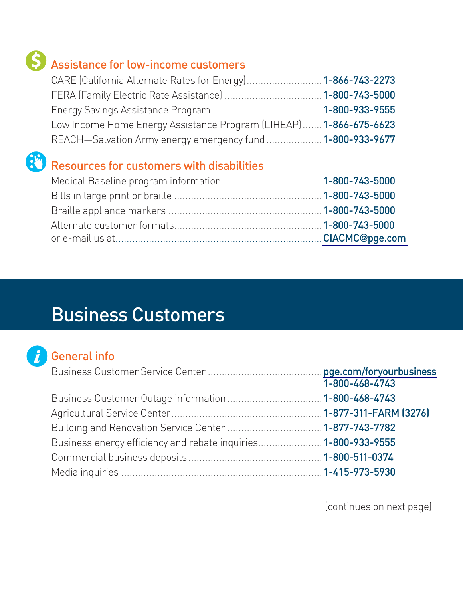# Assistance for low-income customers

| CARE (California Alternate Rates for Energy) 1-866-743-2273       |  |
|-------------------------------------------------------------------|--|
|                                                                   |  |
|                                                                   |  |
| Low Income Home Energy Assistance Program (LIHEAP) 1-866-675-6623 |  |
| REACH-Salvation Army energy emergency fund  1-800-933-9677        |  |

# Resources for customers with disabilities

# Business Customers

## General info

|                                                                | 1-800-468-4743 |
|----------------------------------------------------------------|----------------|
|                                                                |                |
|                                                                |                |
|                                                                |                |
| Business energy efficiency and rebate inquiries 1-800-933-9555 |                |
|                                                                |                |
|                                                                |                |

(continues on next page)